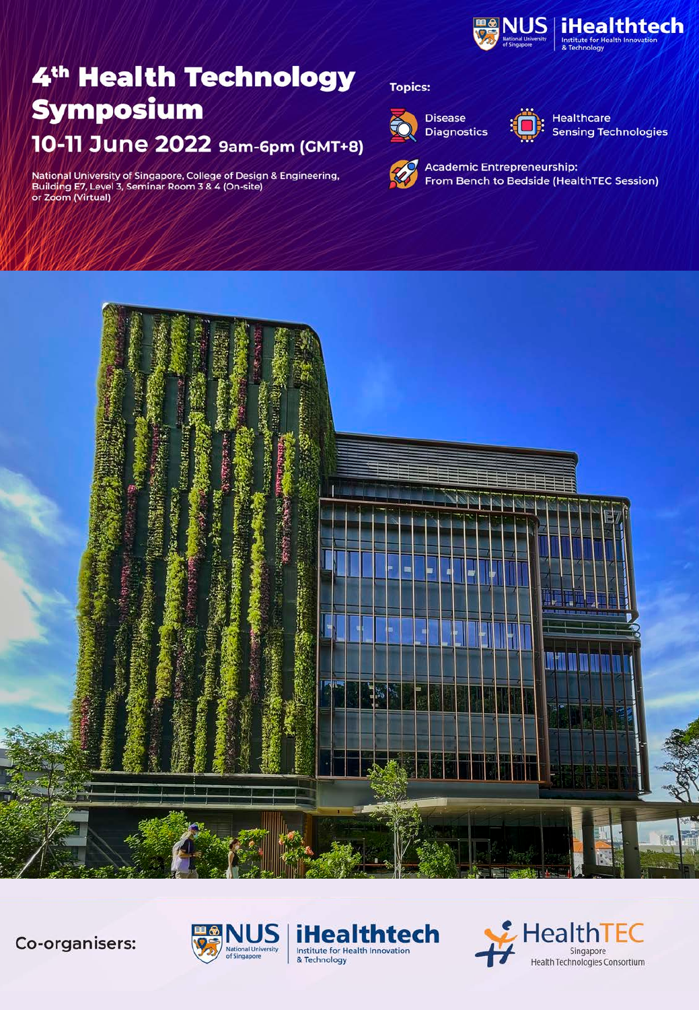

National University of Singapore, College of Design & Engineering,<br>Building E7, Level 3, Seminar Room 3 & 4 (On-site)<br>or Zoom (Virtual)

#### **Topics:**



**Disease Diagnostics** 



**Healthcare Sensing Technologies** 



**Academic Entrepreneurship:** From Bench to Bedside (HealthTEC Session)

 $E$ HealthTEC

Singapore

Health Technologies Consortium



Co-organisers:



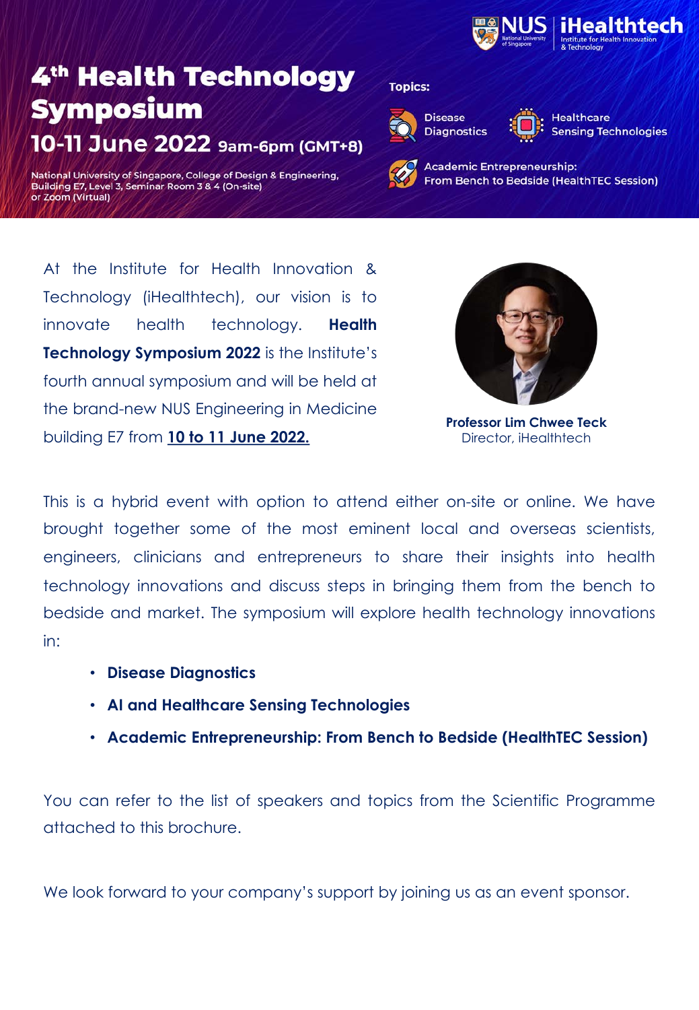

National University of Singapore, College of Design & Engineering, Building E7, Level 3, Seminar Room 3 & 4 (On-site) or Zoom (Virtual)

#### **Topics:**



**Disease Diagnostics** 

**Healthcare Sensing Technologies** 

**Academic Entrepreneurship:** From Bench to Bedside (HealthTEC Session)

At the Institute for Health Innovation & Technology (iHealthtech), our vision is to innovate health technology. **Health Technology Symposium 2022** is the Institute's fourth annual symposium and will be held at the brand-new NUS Engineering in Medicine building E7 from **10 to 11 June 2022.**



**Professor Lim Chwee Teck** Director, iHealthtech

This is a hybrid event with option to attend either on-site or online. We have brought together some of the most eminent local and overseas scientists, engineers, clinicians and entrepreneurs to share their insights into health technology innovations and discuss steps in bringing them from the bench to bedside and market. The symposium will explore health technology innovations in:

- **Disease Diagnostics**
- **Event Highlights AI and Healthcare Sensing Technologies**
- **Academic Entrepreneurship: From Bench to Bedside (HealthTEC Session)**

You can refer to the list of speakers and topics from the Scientific Programme attached to this brochure. Unlimited to this brochure.

We look forward to your company's support by joining us as an event sponsor.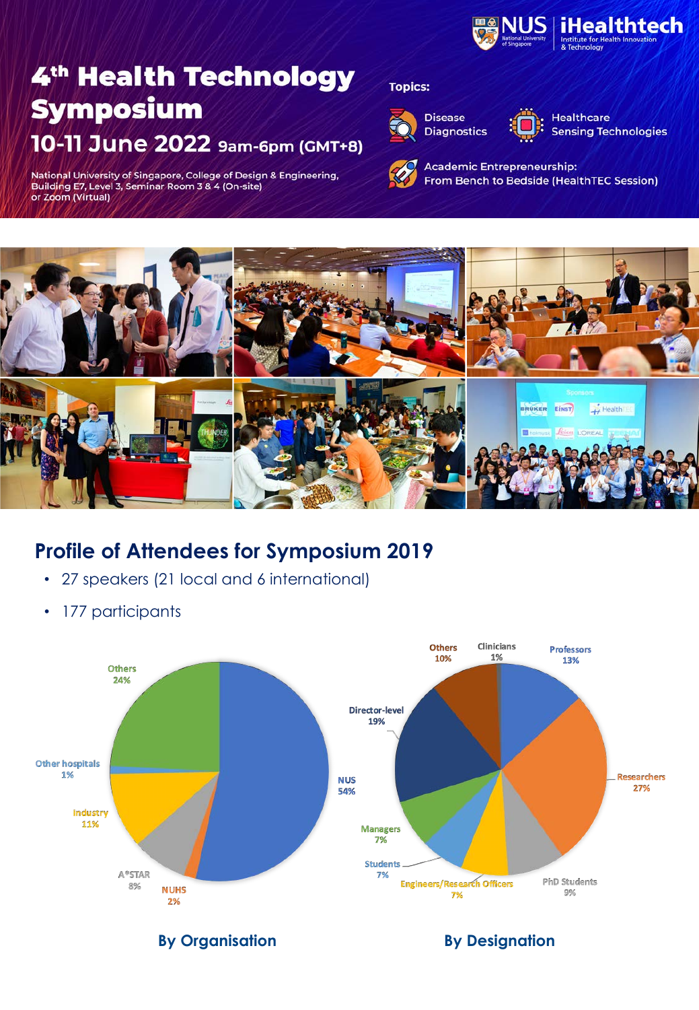

National University of Singapore, College of Design & Engineering, Building E7, Level 3, Seminar Room 3 & 4 (On-site) or Zoom (Virtual)

#### **Topics:**







**Healthcare Sensing Technologies** 

**Academic Entrepreneurship:** From Bench to Bedside (HealthTEC Session)



### **Profile of Attendees for Symposium 2019**

- 27 speakers (21 local and 6 international)
- 177 participants



**By Organisation By Designation**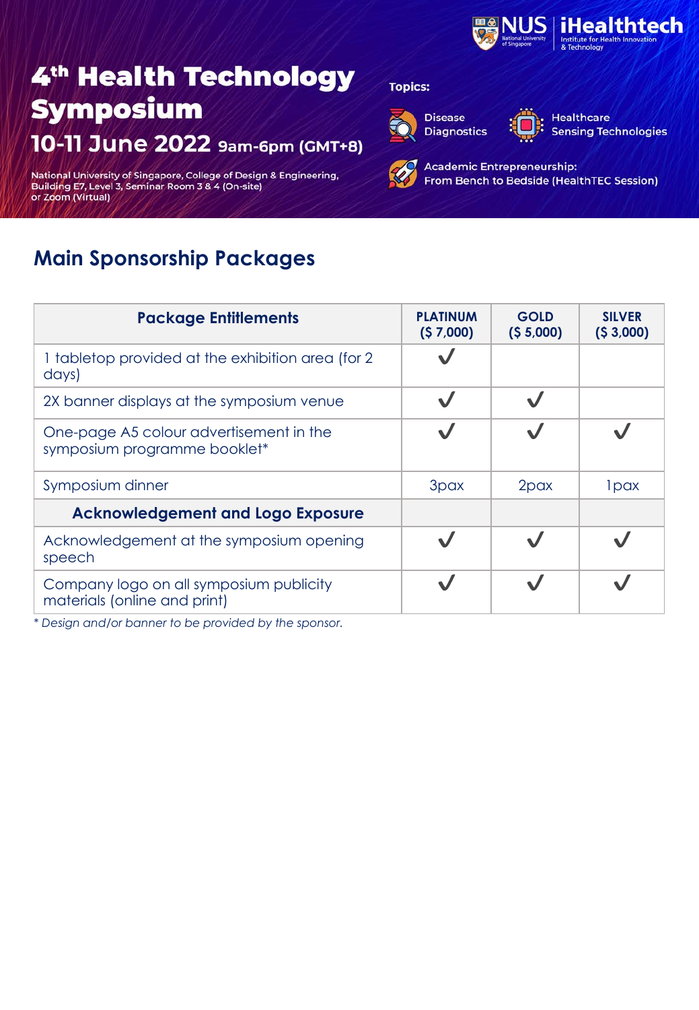

National University of Singapore, College of Design & Engineering,<br>Building E7, Level 3, Seminar Room 3 & 4 (On-site)<br>or Zoom (Virtual)

### **Main Sponsorship Packages**

| <b>Package Entitlements</b>                                             | <b>PLATINUM</b><br>(57,000) | <b>GOLD</b><br>(55,000) | <b>SILVER</b><br>(53,000) |
|-------------------------------------------------------------------------|-----------------------------|-------------------------|---------------------------|
| 1 tabletop provided at the exhibition area (for 2)<br>days)             |                             |                         |                           |
| 2X banner displays at the symposium venue                               | $\checkmark$                |                         |                           |
| One-page A5 colour advertisement in the<br>symposium programme booklet* |                             |                         |                           |
| Symposium dinner                                                        | 3pax                        | 2pax                    | 1 <sub>pax</sub>          |
| <b>Acknowledgement and Logo Exposure</b>                                |                             |                         |                           |
| Acknowledgement at the symposium opening<br>speech                      |                             |                         |                           |
| Company logo on all symposium publicity<br>materials (online and print) |                             |                         |                           |

*\* Design and/or banner to be provided by the sponsor.* 

#### **Topics:**



**Disease Diagnostics** 



**Healthcare Sensing Technologies**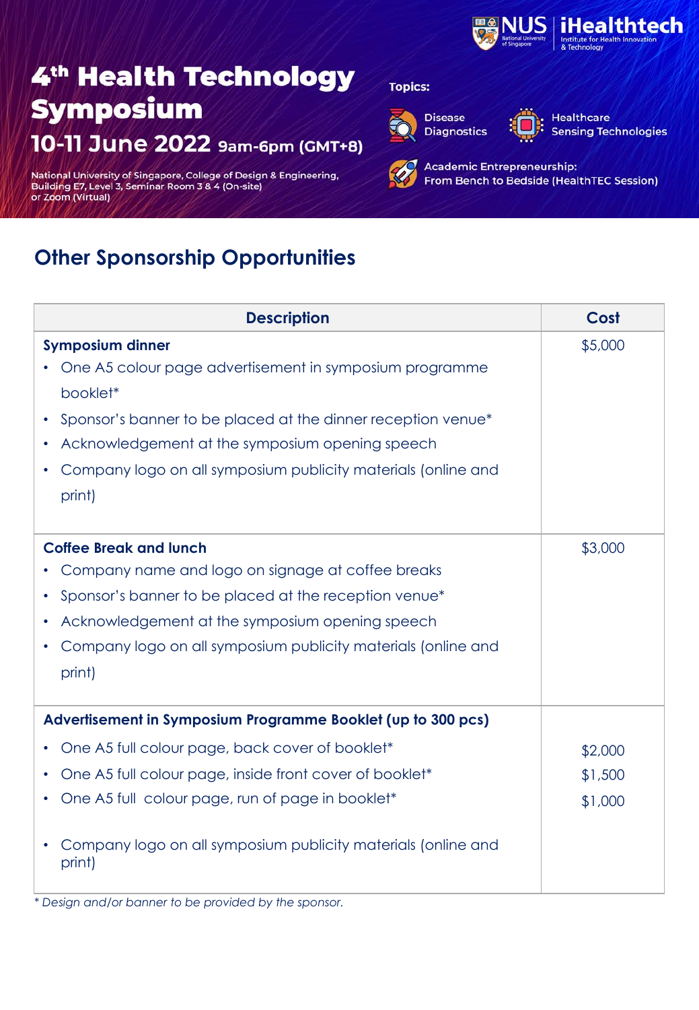

National University of Singapore, College of Design & Engineering,<br>Building E7, Level 3, Seminar Room 3 & 4 (On-site)<br>or Zoom (Virtual)

### **Other Sponsorship Opportunities**

| <b>Description</b>                                                                                                                                                                                                                                                                           | Cost                          |
|----------------------------------------------------------------------------------------------------------------------------------------------------------------------------------------------------------------------------------------------------------------------------------------------|-------------------------------|
| <b>Symposium dinner</b><br>One A5 colour page advertisement in symposium programme<br>booklet*<br>Sponsor's banner to be placed at the dinner reception venue*<br>Acknowledgement at the symposium opening speech<br>Company logo on all symposium publicity materials (online and<br>print) | \$5,000                       |
| <b>Coffee Break and lunch</b><br>Company name and logo on signage at coffee breaks<br>Sponsor's banner to be placed at the reception venue*<br>Acknowledgement at the symposium opening speech<br>$\bullet$<br>Company logo on all symposium publicity materials (online and<br>print)       | \$3,000                       |
| Advertisement in Symposium Programme Booklet (up to 300 pcs)                                                                                                                                                                                                                                 |                               |
| One A5 full colour page, back cover of booklet*<br>One A5 full colour page, inside front cover of booklet*<br>$\bullet$<br>One A5 full colour page, run of page in booklet*                                                                                                                  | \$2,000<br>\$1,500<br>\$1,000 |
| Company logo on all symposium publicity materials (online and<br>print)                                                                                                                                                                                                                      |                               |

\* Design and/or banner to be provided by the sponsor.

### **Topics:**



**Disease Diagnostics** 

**Healthcare Sensing Technologies**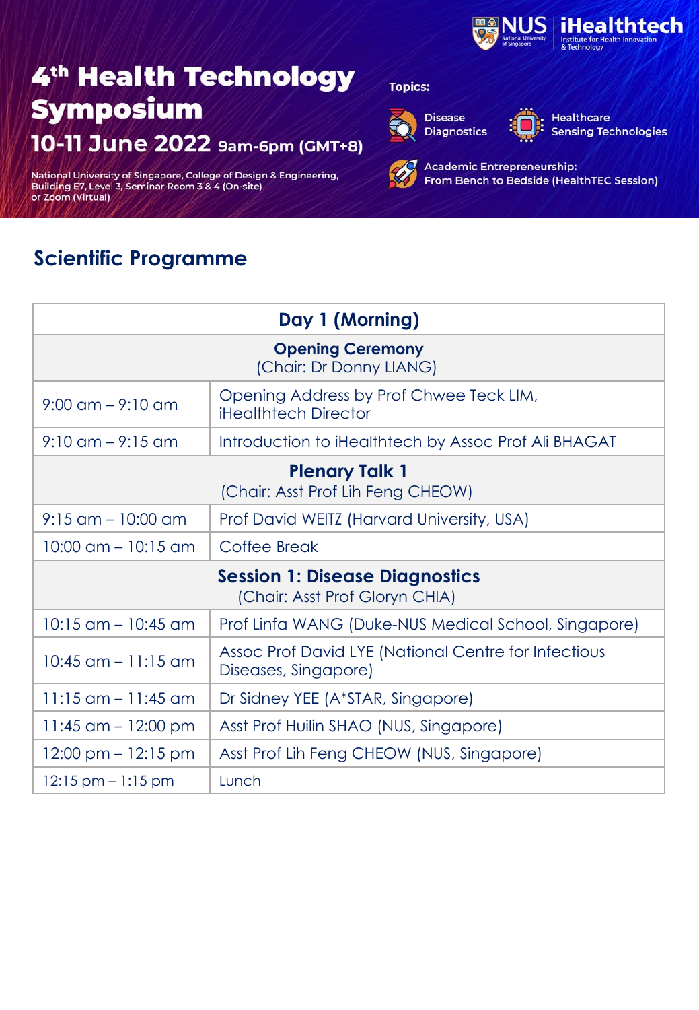

National University of Singapore, College of Design & Engineering,<br>Building E7, Level 3, Seminar Room 3 & 4 (On-site)<br>or Zoom (Virtual)

### **Scientific Programme**

| Day 1 (Morning)                                                         |                                                                              |  |
|-------------------------------------------------------------------------|------------------------------------------------------------------------------|--|
| <b>Opening Ceremony</b><br>(Chair: Dr Donny LIANG)                      |                                                                              |  |
| $9:00 \text{ cm} - 9:10 \text{ cm}$                                     | Opening Address by Prof Chwee Teck LIM,<br><b>iHealthtech Director</b>       |  |
| $9:10$ am $-9:15$ am                                                    | Introduction to iHealthtech by Assoc Prof Ali BHAGAT                         |  |
| <b>Plenary Talk 1</b><br>(Chair: Asst Prof Lih Feng CHEOW)              |                                                                              |  |
| $9:15$ am $-10:00$ am                                                   | Prof David WEITZ (Harvard University, USA)                                   |  |
| $10:00$ am $-10:15$ am                                                  | Coffee Break                                                                 |  |
| <b>Session 1: Disease Diagnostics</b><br>(Chair: Asst Prof Gloryn CHIA) |                                                                              |  |
| $10:15$ am $-10:45$ am                                                  | Prof Linfa WANG (Duke-NUS Medical School, Singapore)                         |  |
| $10:45$ am $-11:15$ am                                                  | Assoc Prof David LYE (National Centre for Infectious<br>Diseases, Singapore) |  |
| $11:15$ am $-11:45$ am                                                  | Dr Sidney YEE (A*STAR, Singapore)                                            |  |
| 11:45 am $-$ 12:00 pm                                                   | Asst Prof Huilin SHAO (NUS, Singapore)                                       |  |
| $12:00 \text{ pm} - 12:15 \text{ pm}$                                   | Asst Prof Lih Feng CHEOW (NUS, Singapore)                                    |  |
| $12:15 \text{ pm} - 1:15 \text{ pm}$                                    | Lunch                                                                        |  |

### **Topics:**



**Disease Diagnostics** 



**Healthcare Sensing Technologies**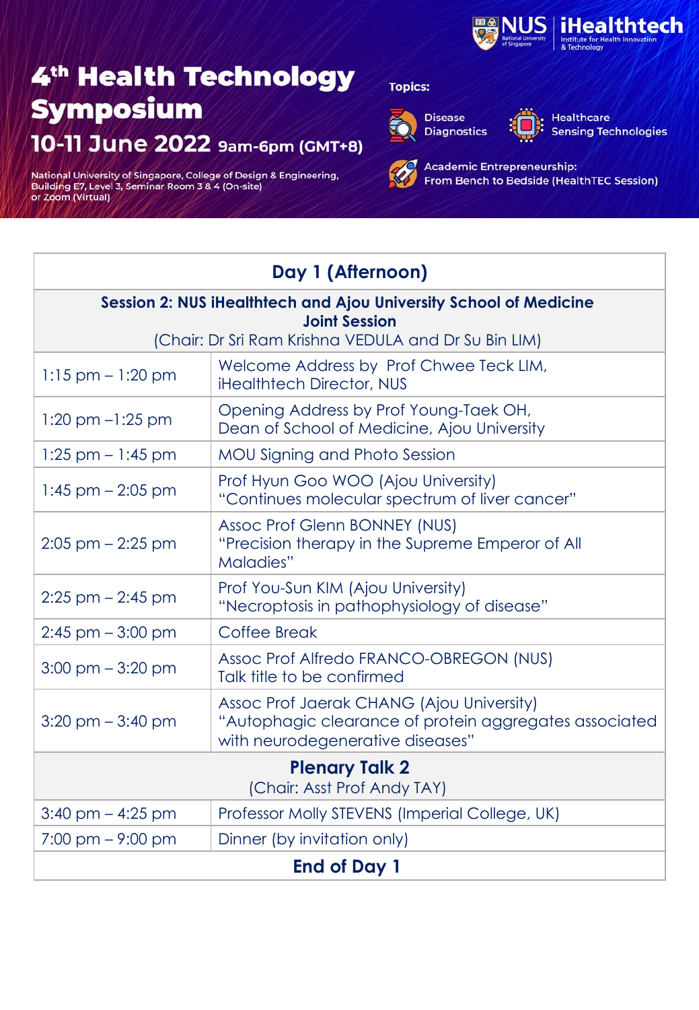

National University of Singapore, College of Design & Engineering,<br>Building E7, Level 3, Seminar Room 3 & 4 (On-site)<br>or Zoom (Virtual)

### **Topics:**



**Disease Diagnostics** 



Healthcare **Sensing Technologies** 

| Day 1 (Afternoon)                                                            |                                                                                                                                         |  |
|------------------------------------------------------------------------------|-----------------------------------------------------------------------------------------------------------------------------------------|--|
| Session 2: NUS iHealthtech and Ajou University School of Medicine            |                                                                                                                                         |  |
| <b>Joint Session</b><br>(Chair: Dr Sri Ram Krishna VEDULA and Dr Su Bin LIM) |                                                                                                                                         |  |
| $1:15$ pm $-1:20$ pm                                                         | Welcome Address by Prof Chwee Teck LIM,<br>iHealthtech Director, NUS                                                                    |  |
| $1:20 \text{ pm} -1:25 \text{ pm}$                                           | Opening Address by Prof Young-Taek OH,<br>Dean of School of Medicine, Ajou University                                                   |  |
| $1:25$ pm $-1:45$ pm                                                         | <b>MOU Signing and Photo Session</b>                                                                                                    |  |
| $1:45$ pm $- 2:05$ pm                                                        | Prof Hyun Goo WOO (Ajou University)<br>"Continues molecular spectrum of liver cancer"                                                   |  |
| $2:05$ pm $-2:25$ pm                                                         | Assoc Prof Glenn BONNEY (NUS)<br>"Precision therapy in the Supreme Emperor of All<br>Maladies"                                          |  |
| $2:25$ pm $- 2:45$ pm                                                        | Prof You-Sun KIM (Ajou University)<br>"Necroptosis in pathophysiology of disease"                                                       |  |
| $2:45$ pm $-3:00$ pm                                                         | Coffee Break                                                                                                                            |  |
| $3:00$ pm $-3:20$ pm                                                         | Assoc Prof Alfredo FRANCO-OBREGON (NUS)<br>Talk title to be confirmed                                                                   |  |
| $3:20$ pm $-3:40$ pm                                                         | Assoc Prof Jaerak CHANG (Ajou University)<br>"Autophagic clearance of protein aggregates associated<br>with neurodegenerative diseases" |  |
| <b>Plenary Talk 2</b><br>(Chair: Asst Prof Andy TAY)                         |                                                                                                                                         |  |
| $3:40$ pm $-4:25$ pm                                                         | Professor Molly STEVENS (Imperial College, UK)                                                                                          |  |
| $7:00 \text{ pm} - 9:00 \text{ pm}$                                          | Dinner (by invitation only)                                                                                                             |  |
| <b>End of Day 1</b>                                                          |                                                                                                                                         |  |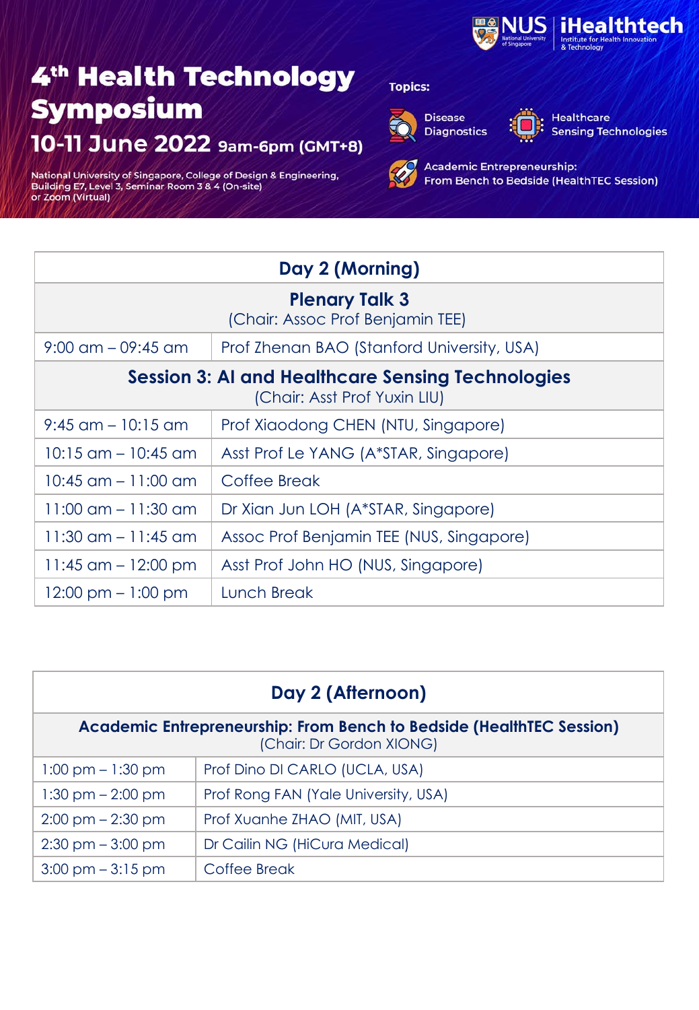

National University of Singapore, College of Design & Engineering,<br>Building E7, Level 3, Seminar Room 3 & 4 (On-site)<br>or Zoom (Virtual)

### **Topics:**



**Disease Diagnostics** 



Healthcare **Sensing Technologies** 

| Day 2 (Morning)                                                                          |                                            |  |
|------------------------------------------------------------------------------------------|--------------------------------------------|--|
| <b>Plenary Talk 3</b><br>(Chair: Assoc Prof Benjamin TEE)                                |                                            |  |
| $9:00$ am $-09:45$ am                                                                    | Prof Zhenan BAO (Stanford University, USA) |  |
| <b>Session 3: AI and Healthcare Sensing Technologies</b><br>(Chair: Asst Prof Yuxin LIU) |                                            |  |
| $9:45$ am $-10:15$ am                                                                    | Prof Xiaodong CHEN (NTU, Singapore)        |  |
| $10:15$ am $-10:45$ am                                                                   | Asst Prof Le YANG (A*STAR, Singapore)      |  |
| $10:45$ am $-11:00$ am                                                                   | Coffee Break                               |  |
| $11:00$ am $-11:30$ am                                                                   | Dr Xian Jun LOH (A*STAR, Singapore)        |  |
| $11:30$ am $-11:45$ am                                                                   | Assoc Prof Benjamin TEE (NUS, Singapore)   |  |
| 11:45 $\text{am} - 12:00 \text{ pm}$                                                     | Asst Prof John HO (NUS, Singapore)         |  |
| $12:00 \text{ pm} - 1:00 \text{ pm}$                                                     | Lunch Break                                |  |

| Day 2 (Afternoon)                                                                                       |                                      |  |
|---------------------------------------------------------------------------------------------------------|--------------------------------------|--|
| <b>Academic Entrepreneurship: From Bench to Bedside (HealthTEC Session)</b><br>(Chair: Dr Gordon XIONG) |                                      |  |
| $1:00 \text{ pm} - 1:30 \text{ pm}$                                                                     | Prof Dino DI CARLO (UCLA, USA)       |  |
| $1:30$ pm $-2:00$ pm                                                                                    | Prof Rong FAN (Yale University, USA) |  |
| $2:00 \text{ pm} - 2:30 \text{ pm}$                                                                     | Prof Xuanhe ZHAO (MIT, USA)          |  |
| $2:30 \text{ pm} - 3:00 \text{ pm}$                                                                     | Dr Cailin NG (HiCura Medical)        |  |
| $3:00 \text{ pm} - 3:15 \text{ pm}$                                                                     | Coffee Break                         |  |